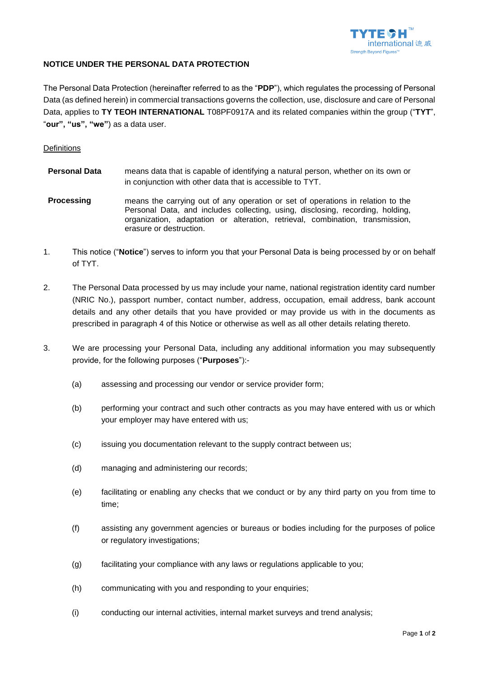

## **NOTICE UNDER THE PERSONAL DATA PROTECTION**

The Personal Data Protection (hereinafter referred to as the "**PDP**"), which regulates the processing of Personal Data (as defined herein) in commercial transactions governs the collection, use, disclosure and care of Personal Data, applies to **TY TEOH INTERNATIONAL** T08PF0917A and its related companies within the group ("**TYT**", "**our", "us", "we"**) as a data user.

## **Definitions**

| <b>Personal Data</b> | means data that is capable of identifying a natural person, whether on its own or<br>in conjunction with other data that is accessible to TYT.                                                                                                                                |
|----------------------|-------------------------------------------------------------------------------------------------------------------------------------------------------------------------------------------------------------------------------------------------------------------------------|
| <b>Processing</b>    | means the carrying out of any operation or set of operations in relation to the<br>Personal Data, and includes collecting, using, disclosing, recording, holding,<br>organization, adaptation or alteration, retrieval, combination, transmission,<br>erasure or destruction. |

- 1. This notice ("**Notice**") serves to inform you that your Personal Data is being processed by or on behalf of TYT.
- 2. The Personal Data processed by us may include your name, national registration identity card number (NRIC No.), passport number, contact number, address, occupation, email address, bank account details and any other details that you have provided or may provide us with in the documents as prescribed in paragraph 4 of this Notice or otherwise as well as all other details relating thereto.
- 3. We are processing your Personal Data, including any additional information you may subsequently provide, for the following purposes ("**Purposes**"):-
	- (a) assessing and processing our vendor or service provider form;
	- (b) performing your contract and such other contracts as you may have entered with us or which your employer may have entered with us;
	- (c) issuing you documentation relevant to the supply contract between us;
	- (d) managing and administering our records;
	- (e) facilitating or enabling any checks that we conduct or by any third party on you from time to time;
	- (f) assisting any government agencies or bureaus or bodies including for the purposes of police or regulatory investigations;
	- (g) facilitating your compliance with any laws or regulations applicable to you;
	- (h) communicating with you and responding to your enquiries;
	- (i) conducting our internal activities, internal market surveys and trend analysis;